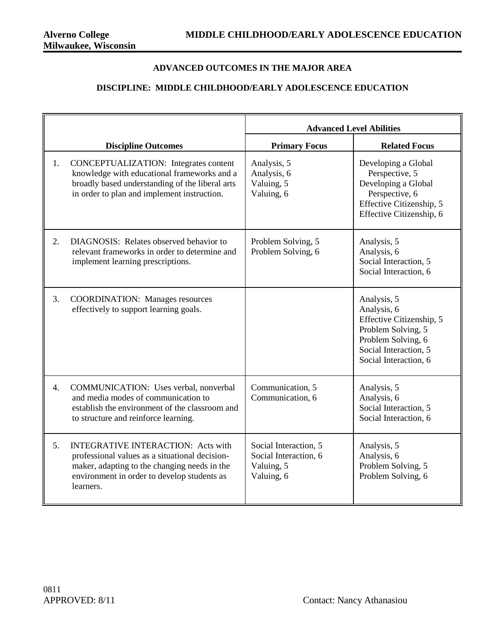## **ADVANCED OUTCOMES IN THE MAJOR AREA**

## **DISCIPLINE: MIDDLE CHILDHOOD/EARLY ADOLESCENCE EDUCATION**

|                  |                                                                                                                                                                                                         | <b>Advanced Level Abilities</b>                                            |                                                                                                                                                      |
|------------------|---------------------------------------------------------------------------------------------------------------------------------------------------------------------------------------------------------|----------------------------------------------------------------------------|------------------------------------------------------------------------------------------------------------------------------------------------------|
|                  | <b>Discipline Outcomes</b>                                                                                                                                                                              | <b>Primary Focus</b>                                                       | <b>Related Focus</b>                                                                                                                                 |
| 1.               | <b>CONCEPTUALIZATION:</b> Integrates content<br>knowledge with educational frameworks and a<br>broadly based understanding of the liberal arts<br>in order to plan and implement instruction.           | Analysis, 5<br>Analysis, 6<br>Valuing, 5<br>Valuing, 6                     | Developing a Global<br>Perspective, 5<br>Developing a Global<br>Perspective, 6<br>Effective Citizenship, 5<br>Effective Citizenship, 6               |
| 2.               | DIAGNOSIS: Relates observed behavior to<br>relevant frameworks in order to determine and<br>implement learning prescriptions.                                                                           | Problem Solving, 5<br>Problem Solving, 6                                   | Analysis, 5<br>Analysis, 6<br>Social Interaction, 5<br>Social Interaction, 6                                                                         |
| 3.               | <b>COORDINATION:</b> Manages resources<br>effectively to support learning goals.                                                                                                                        |                                                                            | Analysis, 5<br>Analysis, 6<br>Effective Citizenship, 5<br>Problem Solving, 5<br>Problem Solving, 6<br>Social Interaction, 5<br>Social Interaction, 6 |
| $\overline{4}$ . | COMMUNICATION: Uses verbal, nonverbal<br>and media modes of communication to<br>establish the environment of the classroom and<br>to structure and reinforce learning.                                  | Communication, 5<br>Communication, 6                                       | Analysis, 5<br>Analysis, 6<br>Social Interaction, 5<br>Social Interaction, 6                                                                         |
| 5.               | <b>INTEGRATIVE INTERACTION: Acts with</b><br>professional values as a situational decision-<br>maker, adapting to the changing needs in the<br>environment in order to develop students as<br>learners. | Social Interaction, 5<br>Social Interaction, 6<br>Valuing, 5<br>Valuing, 6 | Analysis, 5<br>Analysis, 6<br>Problem Solving, 5<br>Problem Solving, 6                                                                               |